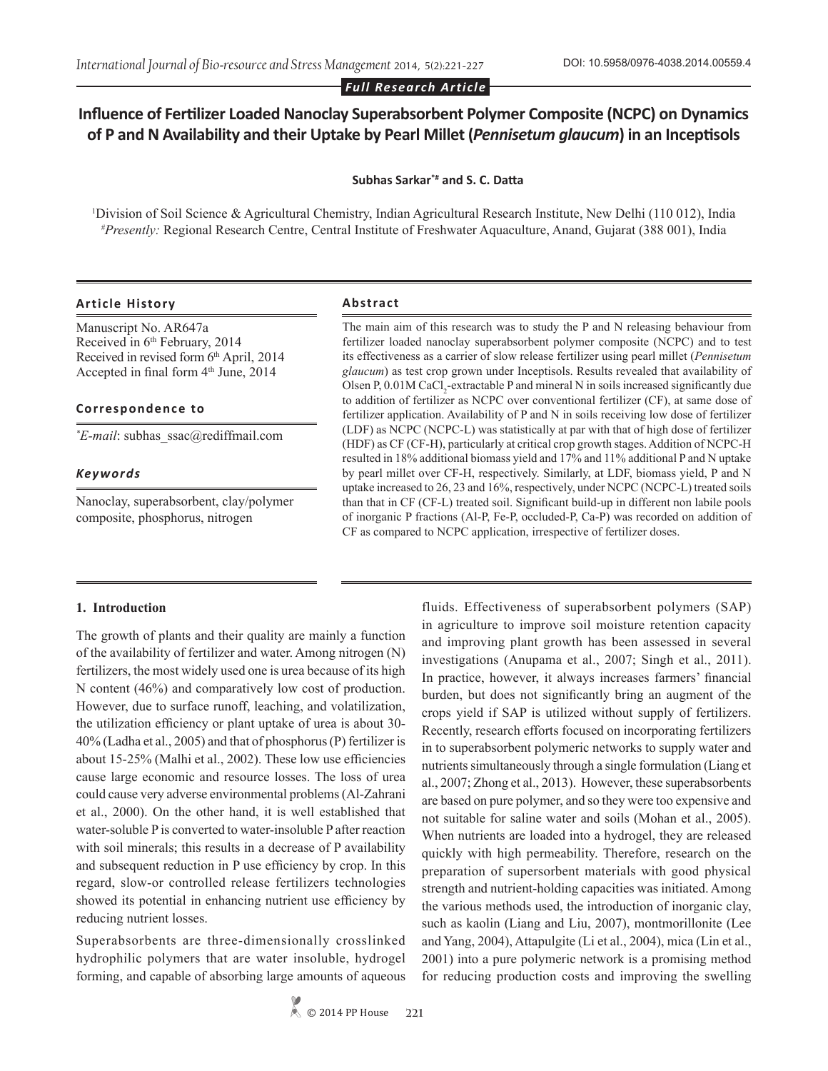# **Influence of Fertilizer Loaded Nanoclay Superabsorbent Polymer Composite (NCPC) on Dynamics of P and N Availability and their Uptake by Pearl Millet (***Pennisetum glaucum***) in an Inceptisols**

**Subhas Sarkar\*# and S. C. Datta**

1 Division of Soil Science & Agricultural Chemistry, Indian Agricultural Research Institute, New Delhi (110 012), India *# Presently:* Regional Research Centre, Central Institute of Freshwater Aquaculture, Anand, Gujarat (388 001), India

# **Article History Abstract**

Manuscript No. AR647a Received in 6<sup>th</sup> February, 2014 Received in revised form 6<sup>th</sup> April, 2014 Accepted in final form 4<sup>th</sup> June, 2014

#### **Correspondence to**

*\* E-mail*: subhas\_ssac@rediffmail.com

# *Keywords*

Nanoclay, superabsorbent, clay/polymer composite, phosphorus, nitrogen

The main aim of this research was to study the P and N releasing behaviour from fertilizer loaded nanoclay superabsorbent polymer composite (NCPC) and to test its effectiveness as a carrier of slow release fertilizer using pearl millet (*Pennisetum glaucum*) as test crop grown under Inceptisols. Results revealed that availability of Olsen P,  $0.01M$  CaCl<sub>2</sub>-extractable P and mineral N in soils increased significantly due to addition of fertilizer as NCPC over conventional fertilizer (CF), at same dose of fertilizer application. Availability of P and N in soils receiving low dose of fertilizer (LDF) as NCPC (NCPC-L) was statistically at par with that of high dose of fertilizer (HDF) as CF (CF-H), particularly at critical crop growth stages. Addition of NCPC-H resulted in 18% additional biomass yield and 17% and 11% additional P and N uptake by pearl millet over CF-H, respectively. Similarly, at LDF, biomass yield, P and N uptake increased to 26, 23 and 16%, respectively, under NCPC (NCPC-L) treated soils than that in CF (CF-L) treated soil. Significant build-up in different non labile pools of inorganic P fractions (Al-P, Fe-P, occluded-P, Ca-P) was recorded on addition of CF as compared to NCPC application, irrespective of fertilizer doses.

# **1. Introduction**

The growth of plants and their quality are mainly a function of the availability of fertilizer and water. Among nitrogen (N) fertilizers, the most widely used one is urea because of its high N content (46%) and comparatively low cost of production. However, due to surface runoff, leaching, and volatilization, the utilization efficiency or plant uptake of urea is about 30- 40% (Ladha et al., 2005) and that of phosphorus (P) fertilizer is about 15-25% (Malhi et al., 2002). These low use efficiencies cause large economic and resource losses. The loss of urea could cause very adverse environmental problems (Al-Zahrani et al., 2000). On the other hand, it is well established that water-soluble P is converted to water-insoluble P after reaction with soil minerals; this results in a decrease of P availability and subsequent reduction in P use efficiency by crop. In this regard, slow-or controlled release fertilizers technologies showed its potential in enhancing nutrient use efficiency by reducing nutrient losses.

Superabsorbents are three-dimensionally crosslinked hydrophilic polymers that are water insoluble, hydrogel forming, and capable of absorbing large amounts of aqueous fluids. Effectiveness of superabsorbent polymers (SAP) in agriculture to improve soil moisture retention capacity and improving plant growth has been assessed in several investigations (Anupama et al., 2007; Singh et al., 2011). In practice, however, it always increases farmers' financial burden, but does not significantly bring an augment of the crops yield if SAP is utilized without supply of fertilizers. Recently, research efforts focused on incorporating fertilizers in to superabsorbent polymeric networks to supply water and nutrients simultaneously through a single formulation (Liang et al., 2007; Zhong et al., 2013). However, these superabsorbents are based on pure polymer, and so they were too expensive and not suitable for saline water and soils (Mohan et al., 2005). When nutrients are loaded into a hydrogel, they are released quickly with high permeability. Therefore, research on the preparation of supersorbent materials with good physical strength and nutrient-holding capacities was initiated. Among the various methods used, the introduction of inorganic clay, such as kaolin (Liang and Liu, 2007), montmorillonite (Lee and Yang, 2004), Attapulgite (Li et al., 2004), mica (Lin et al., 2001) into a pure polymeric network is a promising method for reducing production costs and improving the swelling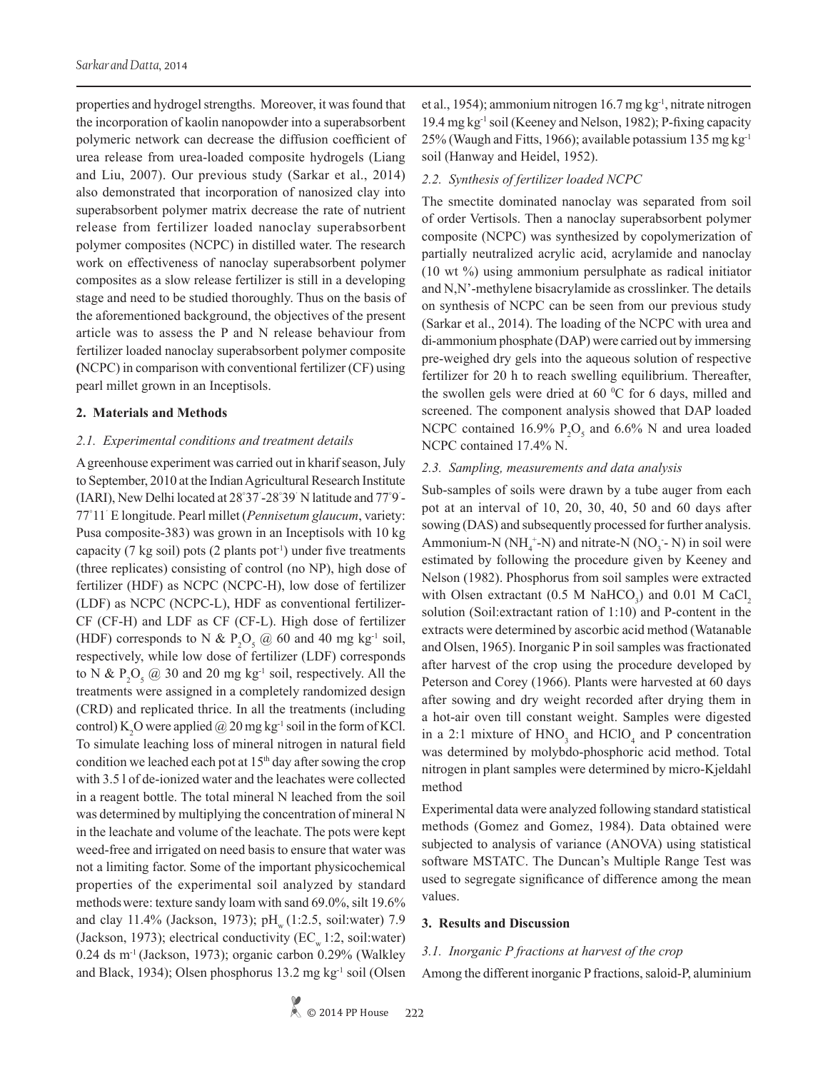properties and hydrogel strengths. Moreover, it was found that the incorporation of kaolin nanopowder into a superabsorbent polymeric network can decrease the diffusion coefficient of urea release from urea-loaded composite hydrogels (Liang and Liu, 2007). Our previous study (Sarkar et al., 2014) also demonstrated that incorporation of nanosized clay into superabsorbent polymer matrix decrease the rate of nutrient release from fertilizer loaded nanoclay superabsorbent polymer composites (NCPC) in distilled water. The research work on effectiveness of nanoclay superabsorbent polymer composites as a slow release fertilizer is still in a developing stage and need to be studied thoroughly. Thus on the basis of the aforementioned background, the objectives of the present article was to assess the P and N release behaviour from fertilizer loaded nanoclay superabsorbent polymer composite **(**NCPC) in comparison with conventional fertilizer (CF) using pearl millet grown in an Inceptisols.

#### **2. Materials and Methods**

#### *2.1. Experimental conditions and treatment details*

A greenhouse experiment was carried out in kharif season, July to September, 2010 at the Indian Agricultural Research Institute (IARI), New Delhi located at 28° 37´ -28° 39´ N latitude and 77° 9´ - 77° 11´ E longitude. Pearl millet (*Pennisetum glaucum*, variety: Pusa composite-383) was grown in an Inceptisols with 10 kg capacity (7 kg soil) pots (2 plants pot<sup>-1</sup>) under five treatments (three replicates) consisting of control (no NP), high dose of fertilizer (HDF) as NCPC (NCPC-H), low dose of fertilizer (LDF) as NCPC (NCPC-L), HDF as conventional fertilizer-CF (CF-H) and LDF as CF (CF-L). High dose of fertilizer (HDF) corresponds to N &  $P_2O_5 \omega$  60 and 40 mg kg<sup>-1</sup> soil, respectively, while low dose of fertilizer (LDF) corresponds to N &  $P_2O_5 \textcircled{a}$  30 and 20 mg kg<sup>-1</sup> soil, respectively. All the treatments were assigned in a completely randomized design (CRD) and replicated thrice. In all the treatments (including control)  $K_2O$  were applied  $@$  20 mg kg<sup>-1</sup> soil in the form of KCl. To simulate leaching loss of mineral nitrogen in natural field condition we leached each pot at  $15<sup>th</sup>$  day after sowing the crop with 3.5 l of de-ionized water and the leachates were collected in a reagent bottle. The total mineral N leached from the soil was determined by multiplying the concentration of mineral N in the leachate and volume of the leachate. The pots were kept weed-free and irrigated on need basis to ensure that water was not a limiting factor. Some of the important physicochemical properties of the experimental soil analyzed by standard methodswere: texture sandy loam with sand 69.0%, silt 19.6% and clay  $11.4\%$  (Jackson, 1973); pH<sub>w</sub> (1:2.5, soil:water) 7.9 (Jackson, 1973); electrical conductivity  $(EC<sub>w</sub> 1:2, soil:water)$  $0.24$  ds m<sup>-1</sup> (Jackson, 1973); organic carbon  $0.29\%$  (Walkley and Black, 1934); Olsen phosphorus 13.2 mg kg-1 soil (Olsen

et al., 1954); ammonium nitrogen 16.7 mg kg-1, nitrate nitrogen 19.4 mg kg-1 soil (Keeney and Nelson, 1982); P-fixing capacity 25% (Waugh and Fitts, 1966); available potassium 135 mg kg-1 soil (Hanway and Heidel, 1952).

#### *2.2. Synthesis of fertilizer loaded NCPC*

The smectite dominated nanoclay was separated from soil of order Vertisols. Then a nanoclay superabsorbent polymer composite (NCPC) was synthesized by copolymerization of partially neutralized acrylic acid, acrylamide and nanoclay (10 wt %) using ammonium persulphate as radical initiator and N,N'-methylene bisacrylamide as crosslinker. The details on synthesis of NCPC can be seen from our previous study (Sarkar et al., 2014). The loading of the NCPC with urea and di-ammonium phosphate (DAP) were carried out by immersing pre-weighed dry gels into the aqueous solution of respective fertilizer for 20 h to reach swelling equilibrium. Thereafter, the swollen gels were dried at  $60^{\circ}$ C for 6 days, milled and screened. The component analysis showed that DAP loaded NCPC contained 16.9%  $P_2O_5$  and 6.6% N and urea loaded NCPC contained 17.4% N.

# *2.3. Sampling, measurements and data analysis*

Sub-samples of soils were drawn by a tube auger from each pot at an interval of 10, 20, 30, 40, 50 and 60 days after sowing (DAS) and subsequently processed for further analysis. Ammonium-N ( $NH_4^+$ -N) and nitrate-N (NO<sub>3</sub> - N) in soil were estimated by following the procedure given by Keeney and Nelson (1982). Phosphorus from soil samples were extracted with Olsen extractant  $(0.5 \text{ M } \text{NaHCO}_3)$  and  $0.01 \text{ M } \text{CaCl}_2$ solution (Soil:extractant ration of 1:10) and P-content in the extracts were determined by ascorbic acid method (Watanable and Olsen, 1965). Inorganic P in soil samples was fractionated after harvest of the crop using the procedure developed by Peterson and Corey (1966). Plants were harvested at 60 days after sowing and dry weight recorded after drying them in a hot-air oven till constant weight. Samples were digested in a 2:1 mixture of  $HNO<sub>3</sub>$  and  $HClO<sub>4</sub>$  and P concentration was determined by molybdo-phosphoric acid method. Total nitrogen in plant samples were determined by micro-Kjeldahl method

Experimental data were analyzed following standard statistical methods (Gomez and Gomez, 1984). Data obtained were subjected to analysis of variance (ANOVA) using statistical software MSTATC. The Duncan's Multiple Range Test was used to segregate significance of difference among the mean values.

## **3. Results and Discussion**

# *3.1. Inorganic P fractions at harvest of the crop*

Among the different inorganic P fractions, saloid-P, aluminium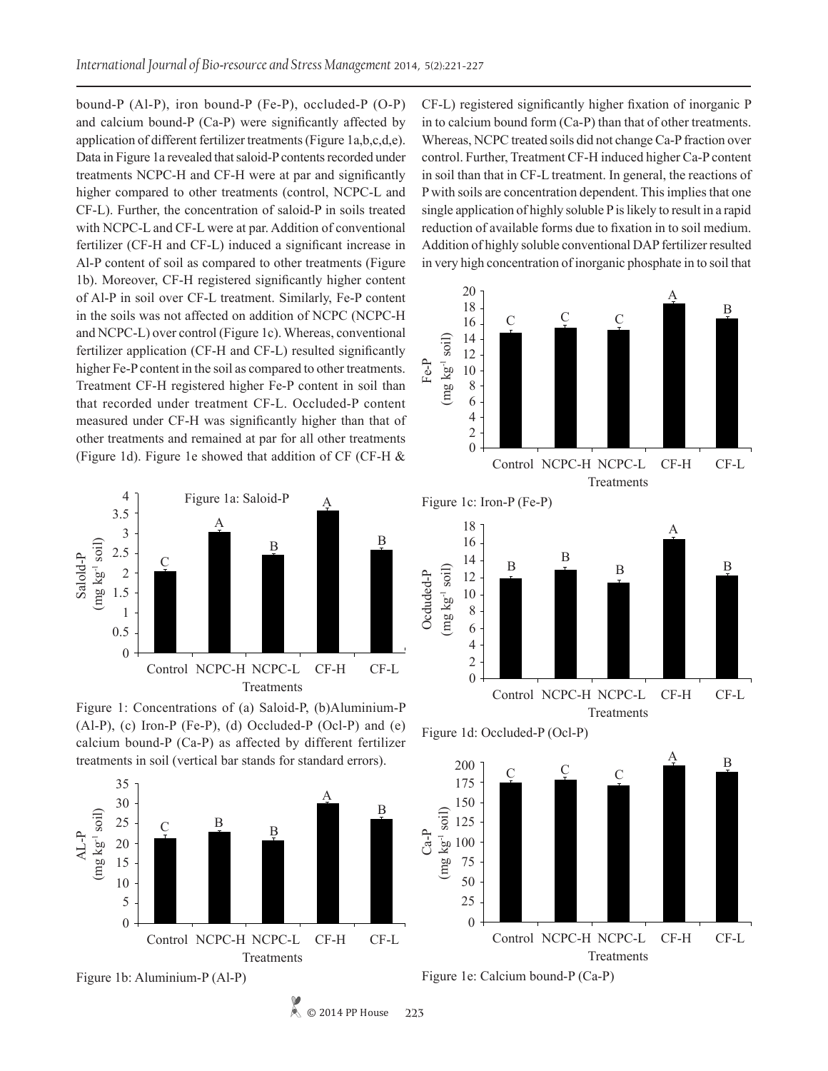bound-P (Al-P), iron bound-P (Fe-P), occluded-P (O-P) and calcium bound-P (Ca-P) were significantly affected by application of different fertilizer treatments (Figure 1a,b,c,d,e). Data in Figure 1a revealed that saloid-P contents recorded under treatments NCPC-H and CF-H were at par and significantly higher compared to other treatments (control, NCPC-L and CF-L). Further, the concentration of saloid-P in soils treated with NCPC-L and CF-L were at par. Addition of conventional fertilizer (CF-H and CF-L) induced a significant increase in Al-P content of soil as compared to other treatments (Figure 1b). Moreover, CF-H registered significantly higher content of Al-P in soil over CF-L treatment. Similarly, Fe-P content in the soils was not affected on addition of NCPC (NCPC-H and NCPC-L) over control (Figure 1c). Whereas, conventional fertilizer application (CF-H and CF-L) resulted significantly higher Fe-P content in the soil as compared to other treatments. Treatment CF-H registered higher Fe-P content in soil than that recorded under treatment CF-L. Occluded-P content measured under CF-H was significantly higher than that of other treatments and remained at par for all other treatments (Figure 1d). Figure 1e showed that addition of CF (CF-H &







© 2014 PP House

**223**

CF-L) registered significantly higher fixation of inorganic P in to calcium bound form (Ca-P) than that of other treatments. Whereas, NCPC treated soils did not change Ca-P fraction over control. Further, Treatment CF-H induced higher Ca-P content in soil than that in CF-L treatment. In general, the reactions of P with soils are concentration dependent. This implies that one single application of highly soluble P is likely to result in a rapid reduction of available forms due to fixation in to soil medium. Addition of highly soluble conventional DAP fertilizer resulted in very high concentration of inorganic phosphate in to soil that









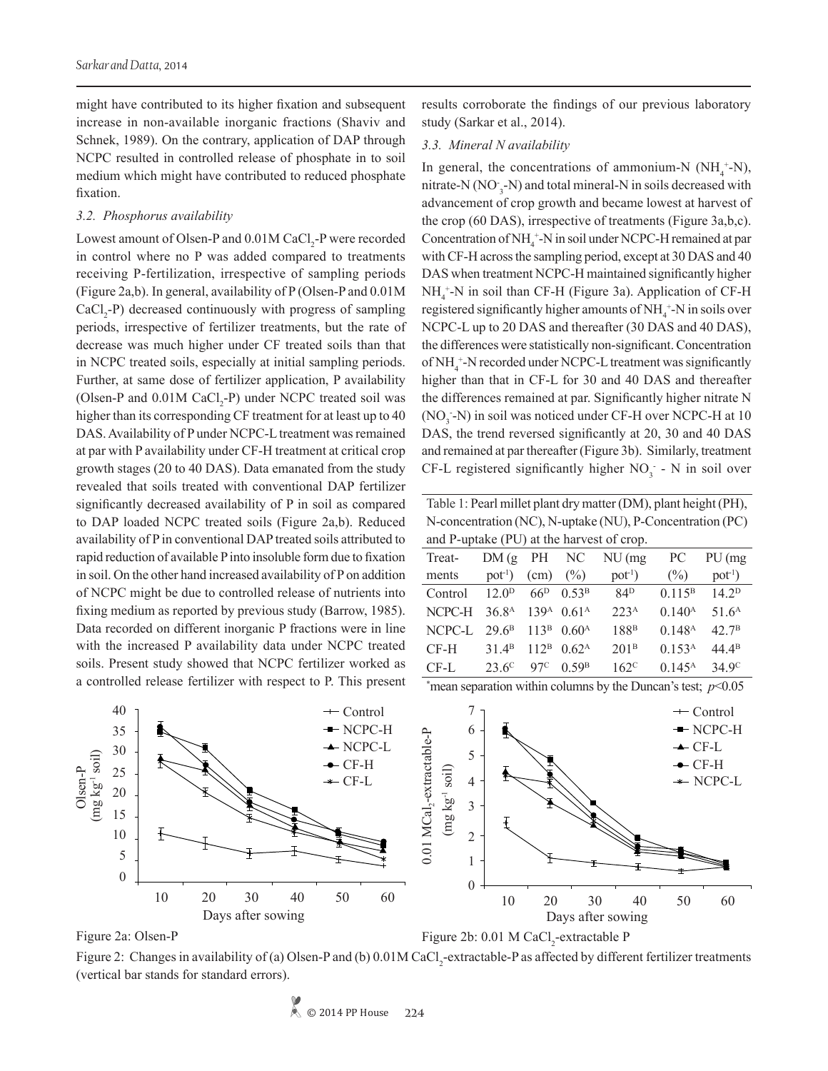might have contributed to its higher fixation and subsequent increase in non-available inorganic fractions (Shaviv and Schnek, 1989). On the contrary, application of DAP through NCPC resulted in controlled release of phosphate in to soil medium which might have contributed to reduced phosphate fixation.

#### *3.2. Phosphorus availability*

Lowest amount of Olsen-P and  $0.01M$  CaCl<sub>2</sub>-P were recorded in control where no P was added compared to treatments receiving P-fertilization, irrespective of sampling periods (Figure 2a,b). In general, availability of P (Olsen-P and 0.01M  $CaCl<sub>2</sub>-P$ ) decreased continuously with progress of sampling periods, irrespective of fertilizer treatments, but the rate of decrease was much higher under CF treated soils than that in NCPC treated soils, especially at initial sampling periods. Further, at same dose of fertilizer application, P availability (Olsen-P and  $0.01M$  CaCl<sub>2</sub>-P) under NCPC treated soil was higher than its corresponding CF treatment for at least up to 40 DAS. Availability of P under NCPC-L treatment was remained at par with P availability under CF-H treatment at critical crop growth stages (20 to 40 DAS). Data emanated from the study revealed that soils treated with conventional DAP fertilizer significantly decreased availability of P in soil as compared to DAP loaded NCPC treated soils (Figure 2a,b). Reduced availability of P in conventional DAP treated soils attributed to rapid reduction of available P into insoluble form due to fixation in soil. On the other hand increased availability of P on addition of NCPC might be due to controlled release of nutrients into fixing medium as reported by previous study (Barrow, 1985). Data recorded on different inorganic P fractions were in line with the increased P availability data under NCPC treated soils. Present study showed that NCPC fertilizer worked as a controlled release fertilizer with respect to P. This present

results corroborate the findings of our previous laboratory study (Sarkar et al., 2014).

#### *3.3. Mineral N availability*

In general, the concentrations of ammonium-N  $(NH_4^+N)$ , mitrate-N (NO<sub>3</sub>-N) and total mineral-N in soils decreased with advancement of crop growth and became lowest at harvest of the crop (60 DAS), irrespective of treatments (Figure 3a,b,c). Concentration of  $NH_4^+$ -N in soil under NCPC-H remained at par with CF-H across the sampling period, except at 30 DAS and 40 DAS when treatment NCPC-H maintained significantly higher NH<sub>4</sub><sup>+</sup>-N in soil than CF-H (Figure 3a). Application of CF-H registered significantly higher amounts of  $NH_4^+$ -N in soils over NCPC-L up to 20 DAS and thereafter (30 DAS and 40 DAS), the differences were statistically non-significant. Concentration of NH<sub>4</sub><sup>+</sup>-N recorded under NCPC-L treatment was significantly higher than that in CF-L for 30 and 40 DAS and thereafter the differences remained at par. Significantly higher nitrate N  $(NO<sub>3</sub> - N)$  in soil was noticed under CF-H over NCPC-H at 10 DAS, the trend reversed significantly at 20, 30 and 40 DAS and remained at par thereafter (Figure 3b). Similarly, treatment CF-L registered significantly higher  $NO<sub>3</sub> - N$  in soil over

Table 1: Pearl millet plant dry matter (DM), plant height (PH), N-concentration (NC), N-uptake (NU), P-Concentration (PC) and P-uptake (PU) at the harvest of crop.

| Treat-                                                      | DM(g PH NC)                                          |                                   | $NU$ (mg)        | PC                                   | $PU$ (mg          |
|-------------------------------------------------------------|------------------------------------------------------|-----------------------------------|------------------|--------------------------------------|-------------------|
| ments                                                       | $pot1$ )                                             | $(cm)$ $(\%)$                     | $pot-1$ )        | (%)                                  | $pot1$ )          |
| Control                                                     | $12.0^{\rm D}$ 66 <sup>D</sup> 0.53 <sup>B</sup>     |                                   | 84 <sup>D</sup>  | $0.115B$ 14.2 <sup>D</sup>           |                   |
| NCPC-H 36.8 <sup>A</sup> 139 <sup>A</sup> 0.61 <sup>A</sup> |                                                      |                                   | 223 <sup>A</sup> | 0.140 <sup>A</sup>                   | 51.6 <sup>A</sup> |
| NCPC-L                                                      | $29.6^{\rm B}$ 113 <sup>B</sup> 0.60 <sup>A</sup>    |                                   | 188 <sup>B</sup> | 0.148 <sup>A</sup>                   | $42.7^{\rm B}$    |
| $CF-H$                                                      | 31.4 <sup>B</sup> 112 <sup>B</sup> 0.62 <sup>A</sup> |                                   | 201 <sup>B</sup> | 0.153 <sup>A</sup>                   | 44 $4^{\rm B}$    |
| $CF-I.$                                                     | $23.6^{\circ}$                                       | 97 <sup>C</sup> 0.59 <sup>B</sup> | $162^{\circ}$    | $0.145^{\text{A}}$ 34 9 <sup>C</sup> |                   |
|                                                             |                                                      |                                   |                  |                                      |                   |

\* mean separation within columns by the Duncan's test; *p*<0.05





Figure 2b: 0.01 M CaCl<sub>2</sub>-extractable P

Figure 2: Changes in availability of (a) Olsen-P and (b)  $0.01M$  CaCl<sub>2</sub>-extractable-P as affected by different fertilizer treatments (vertical bar stands for standard errors).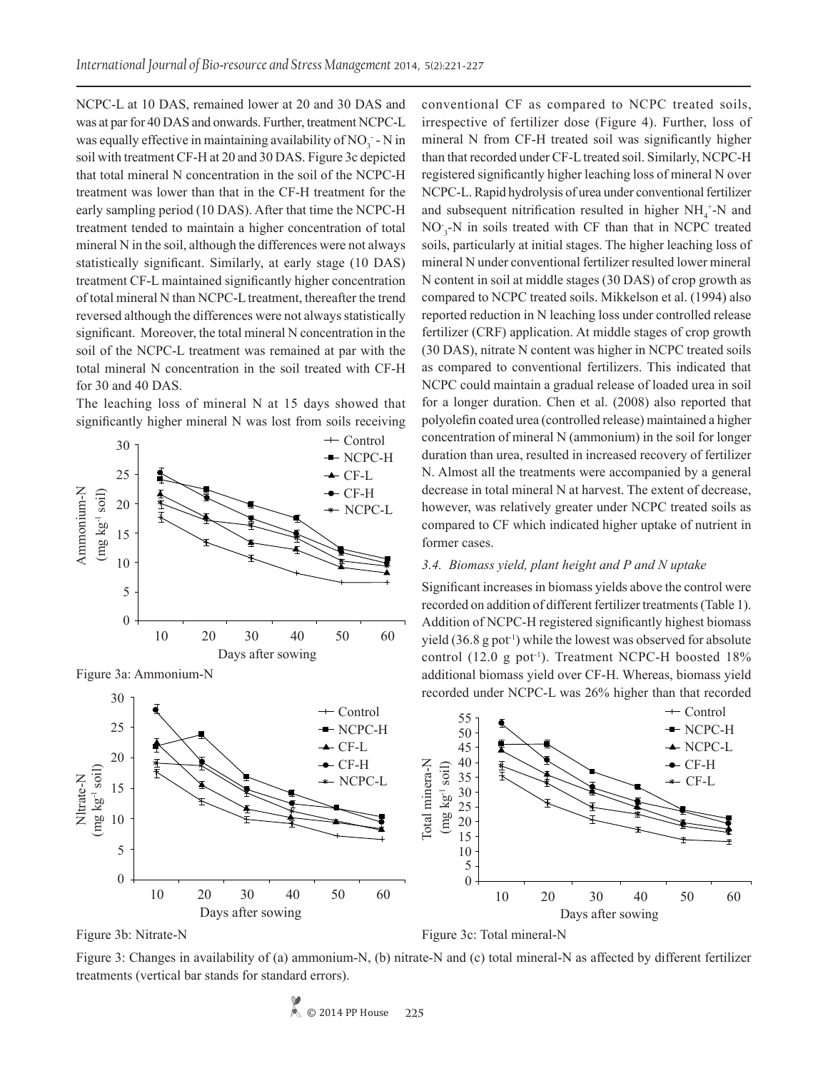NCPC-L at 10 DAS, remained lower at 20 and 30 DAS and was at par for 40 DAS and onwards. Further, treatment NCPC-L was equally effective in maintaining availability of  $NO_3^-$  - N in soil with treatment CF-H at 20 and 30 DAS. Figure 3c depicted that total mineral N concentration in the soil of the NCPC-H treatment was lower than that in the CF-H treatment for the early sampling period (10 DAS). After that time the NCPC-H treatment tended to maintain a higher concentration of total mineral N in the soil, although the differences were not always statistically significant. Similarly, at early stage (10 DAS) treatment CF-L maintained significantly higher concentration of total mineral N than NCPC-L treatment, thereafter the trend reversed although the differences were not always statistically significant. Moreover, the total mineral N concentration in the soil of the NCPC-L treatment was remained at par with the total mineral N concentration in the soil treated with CF-H for 30 and 40 DAS.

The leaching loss of mineral N at 15 days showed that significantly higher mineral N was lost from soils receiving



Figure 3a: Ammonium-N

conventional CF as compared to NCPC treated soils, irrespective of fertilizer dose (Figure 4). Further, loss of mineral N from CF-H treated soil was significantly higher than that recorded under CF-L treated soil. Similarly, NCPC-H registered significantly higher leaching loss of mineral N over NCPC-L. Rapid hydrolysis of urea under conventional fertilizer and subsequent nitrification resulted in higher  $NH_4$ <sup>+</sup>-N and  $NO_{3}$ -N in soils treated with CF than that in NCPC treated soils, particularly at initial stages. The higher leaching loss of mineral N under conventional fertilizer resulted lower mineral N content in soil at middle stages (30 DAS) of crop growth as compared to NCPC treated soils. Mikkelson et al. (1994) also reported reduction in N leaching loss under controlled release fertilizer (CRF) application. At middle stages of crop growth (30 DAS), nitrate N content was higher in NCPC treated soils as compared to conventional fertilizers. This indicated that NCPC could maintain a gradual release of loaded urea in soil for a longer duration. Chen et al. (2008) also reported that polyolefin coated urea (controlled release) maintained a higher concentration of mineral N (ammonium) in the soil for longer duration than urea, resulted in increased recovery of fertilizer N. Almost all the treatments were accompanied by a general decrease in total mineral N at harvest. The extent of decrease, however, was relatively greater under NCPC treated soils as compared to CF which indicated higher uptake of nutrient in former cases.

# *3.4. Biomass yield, plant height and P and N uptake*

Significant increases in biomass yields above the control were recorded on addition of different fertilizer treatments (Table 1). Addition of NCPC-H registered significantly highest biomass yield  $(36.8 \text{ g pot}^{-1})$  while the lowest was observed for absolute control (12.0 g pot<sup>-1</sup>). Treatment NCPC-H boosted  $18\%$ additional biomass yield over CF-H. Whereas, biomass yield recorded under NCPC-L was 26% higher than that recorded



Figure 3: Changes in availability of (a) ammonium-N, (b) nitrate-N and (c) total mineral-N as affected by different fertilizer treatments (vertical bar stands for standard errors).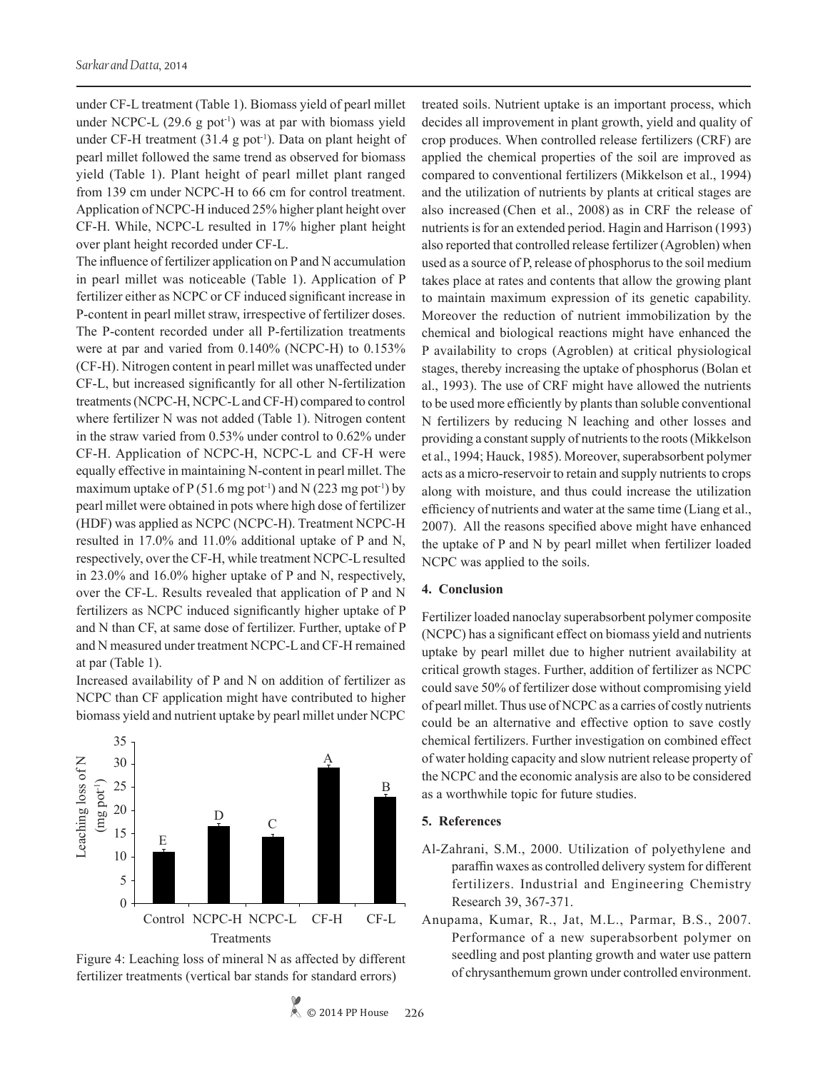under CF-L treatment (Table 1). Biomass yield of pearl millet under NCPC-L  $(29.6 \text{ g pot}^{-1})$  was at par with biomass yield under CF-H treatment  $(31.4 \text{ g pot}^{-1})$ . Data on plant height of pearl millet followed the same trend as observed for biomass yield (Table 1). Plant height of pearl millet plant ranged from 139 cm under NCPC-H to 66 cm for control treatment. Application of NCPC-H induced 25% higher plant height over CF-H. While, NCPC-L resulted in 17% higher plant height over plant height recorded under CF-L.

The influence of fertilizer application on P and N accumulation in pearl millet was noticeable (Table 1). Application of P fertilizer either as NCPC or CF induced significant increase in P-content in pearl millet straw, irrespective of fertilizer doses. The P-content recorded under all P-fertilization treatments were at par and varied from 0.140% (NCPC-H) to 0.153% (CF-H). Nitrogen content in pearl millet was unaffected under CF-L, but increased significantly for all other N-fertilization treatments (NCPC-H, NCPC-L and CF-H) compared to control where fertilizer N was not added (Table 1). Nitrogen content in the straw varied from 0.53% under control to 0.62% under CF-H. Application of NCPC-H, NCPC-L and CF-H were equally effective in maintaining N-content in pearl millet. The maximum uptake of P (51.6 mg pot<sup>-1</sup>) and N (223 mg pot<sup>-1</sup>) by pearl millet were obtained in pots where high dose of fertilizer (HDF) was applied as NCPC (NCPC-H). Treatment NCPC-H resulted in 17.0% and 11.0% additional uptake of P and N, respectively, over the CF-H, while treatment NCPC-L resulted in 23.0% and 16.0% higher uptake of P and N, respectively, over the CF-L. Results revealed that application of P and N fertilizers as NCPC induced significantly higher uptake of P and N than CF, at same dose of fertilizer. Further, uptake of P and N measured under treatment NCPC-L and CF-H remained at par (Table 1).

Increased availability of P and N on addition of fertilizer as NCPC than CF application might have contributed to higher biomass yield and nutrient uptake by pearl millet under NCPC



Figure 4: Leaching loss of mineral N as affected by different fertilizer treatments (vertical bar stands for standard errors)

treated soils. Nutrient uptake is an important process, which decides all improvement in plant growth, yield and quality of crop produces. When controlled release fertilizers (CRF) are applied the chemical properties of the soil are improved as compared to conventional fertilizers (Mikkelson et al., 1994) and the utilization of nutrients by plants at critical stages are also increased (Chen et al., 2008) as in CRF the release of nutrients is for an extended period. Hagin and Harrison (1993) also reported that controlled release fertilizer (Agroblen) when used as a source of P, release of phosphorus to the soil medium takes place at rates and contents that allow the growing plant to maintain maximum expression of its genetic capability. Moreover the reduction of nutrient immobilization by the chemical and biological reactions might have enhanced the P availability to crops (Agroblen) at critical physiological stages, thereby increasing the uptake of phosphorus (Bolan et al., 1993). The use of CRF might have allowed the nutrients to be used more efficiently by plants than soluble conventional N fertilizers by reducing N leaching and other losses and providing a constant supply of nutrients to the roots (Mikkelson et al., 1994; Hauck, 1985). Moreover, superabsorbent polymer acts as a micro-reservoir to retain and supply nutrients to crops along with moisture, and thus could increase the utilization efficiency of nutrients and water at the same time (Liang et al., 2007). All the reasons specified above might have enhanced the uptake of P and N by pearl millet when fertilizer loaded NCPC was applied to the soils.

# **4. Conclusion**

Fertilizer loaded nanoclay superabsorbent polymer composite (NCPC) has a significant effect on biomass yield and nutrients uptake by pearl millet due to higher nutrient availability at critical growth stages. Further, addition of fertilizer as NCPC could save 50% of fertilizer dose without compromising yield of pearl millet. Thus use of NCPC as a carries of costly nutrients could be an alternative and effective option to save costly chemical fertilizers. Further investigation on combined effect of water holding capacity and slow nutrient release property of the NCPC and the economic analysis are also to be considered as a worthwhile topic for future studies.

#### **5. References**

- Al-Zahrani, S.M., 2000. Utilization of polyethylene and paraffin waxes as controlled delivery system for different fertilizers. Industrial and Engineering Chemistry Research 39, 367-371.
- Anupama, Kumar, R., Jat, M.L., Parmar, B.S., 2007. Performance of a new superabsorbent polymer on seedling and post planting growth and water use pattern of chrysanthemum grown under controlled environment.